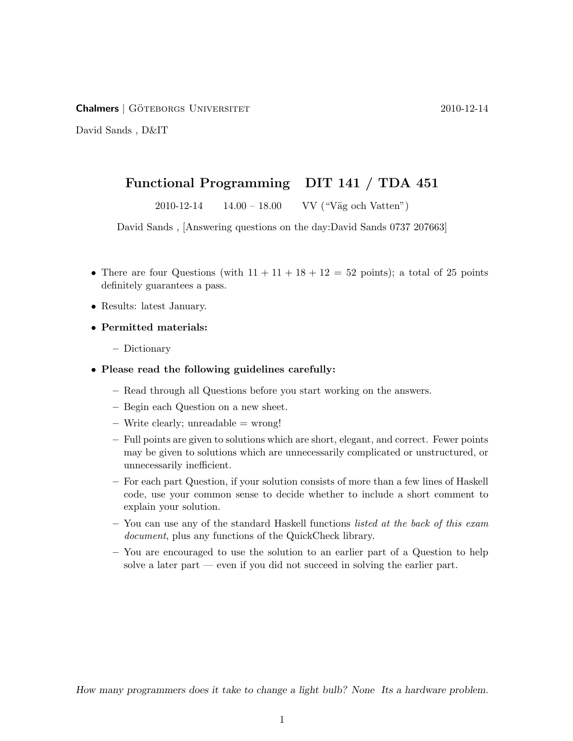Chalmers | Goteborgs Universitet ¨ 2010-12-14

David Sands , D&IT

## Functional Programming DIT 141 / TDA 451

 $2010-12-14$   $14.00-18.00$  VV ("Väg och Vatten")

David Sands , [Answering questions on the day:David Sands 0737 207663]

- There are four Questions (with  $11 + 11 + 18 + 12 = 52$  points); a total of 25 points definitely guarantees a pass.
- Results: latest January.
- Permitted materials:
	- Dictionary
- Please read the following guidelines carefully:
	- Read through all Questions before you start working on the answers.
	- Begin each Question on a new sheet.
	- $-$  Write clearly; unreadable  $=$  wrong!
	- Full points are given to solutions which are short, elegant, and correct. Fewer points may be given to solutions which are unnecessarily complicated or unstructured, or unnecessarily inefficient.
	- For each part Question, if your solution consists of more than a few lines of Haskell code, use your common sense to decide whether to include a short comment to explain your solution.
	- You can use any of the standard Haskell functions listed at the back of this exam document, plus any functions of the QuickCheck library.
	- You are encouraged to use the solution to an earlier part of a Question to help solve a later part — even if you did not succeed in solving the earlier part.

How many programmers does it take to change a light bulb? None Its a hardware problem.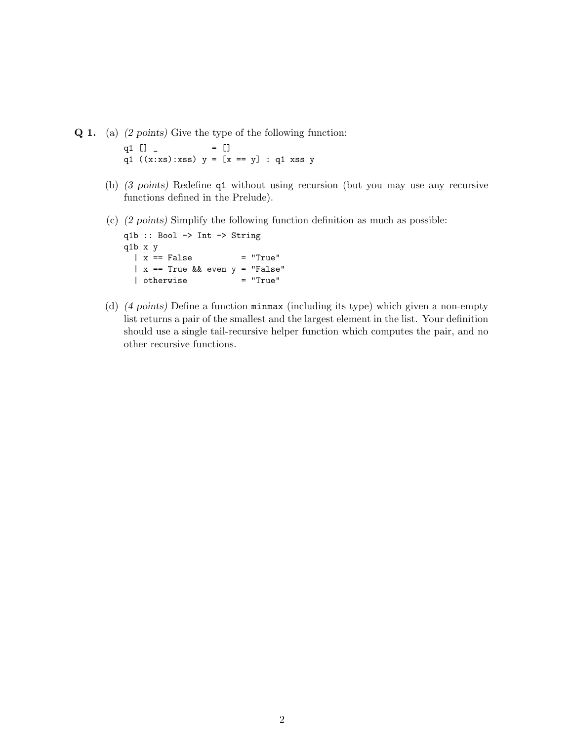Q 1. (a) (2 points) Give the type of the following function:

q1  $[$   $]$   $[$   $]$   $[$   $]$   $[$   $]$   $[$   $]$   $[$   $]$   $[$   $]$   $[$   $]$   $[$   $]$   $[$   $]$   $[$   $]$   $[$   $]$   $[$   $]$   $[$   $]$   $[$   $]$   $[$   $]$   $[$   $]$   $[$   $]$   $[$   $]$   $[$   $]$   $[$   $]$   $[$   $]$   $[$   $]$   $[$   $]$   $[$   $]$   $[$   $]$   $[$   $]$   $[$ q1  $((x:xs):xs)$   $y = [x == y] : q1 xss y$ 

- (b) (3 points) Redefine q1 without using recursion (but you may use any recursive functions defined in the Prelude).
- (c) (2 points) Simplify the following function definition as much as possible:

q1b :: Bool -> Int -> String q1b x y  $|x == False$  = "True"  $\begin{array}{rcl} | & x == True & \& x = \text{true} & \ \text{else} \text{``False''} \\ | & \text{otherwise} & = \text{``True''} \end{array}$ | otherwise

(d) (4 points) Define a function minmax (including its type) which given a non-empty list returns a pair of the smallest and the largest element in the list. Your definition should use a single tail-recursive helper function which computes the pair, and no other recursive functions.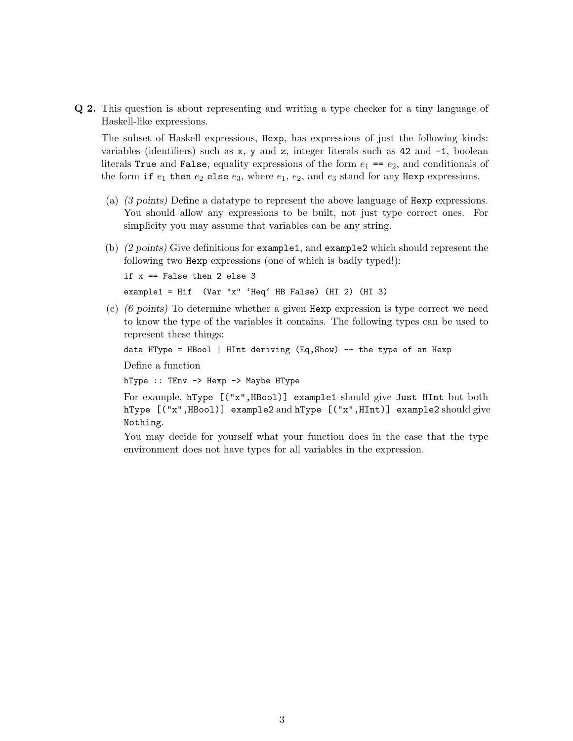Q 2. This question is about representing and writing a type checker for a tiny language of Haskell-like expressions.

The subset of Haskell expressions, Hexp, has expressions of just the following kinds: variables (identifiers) such as  $x$ , y and z, integer literals such as 42 and  $-1$ , boolean literals True and False, equality expressions of the form  $e_1 = e_2$ , and conditionals of the form if  $e_1$  then  $e_2$  else  $e_3$ , where  $e_1$ ,  $e_2$ , and  $e_3$  stand for any Hexp expressions.

- (a) (3 points) Define a datatype to represent the above language of Hexp expressions. You should allow any expressions to be built, not just type correct ones. For simplicity you may assume that variables can be any string.
- (b) (2 points) Give definitions for example1, and example2 which should represent the following two Hexp expressions (one of which is badly typed!):

if x == False then 2 else 3 example1 = Hif (Var "x" 'Heq' HB False) (HI 2) (HI 3)

(c) (6 points) To determine whether a given Hexp expression is type correct we need to know the type of the variables it contains. The following types can be used to represent these things:

data HType = HBool | HInt deriving (Eq,Show) -- the type of an Hexp

Define a function

hType :: TEnv -> Hexp -> Maybe HType

```
For example, hType [("x",HBool)] example1 should give Just HInt but both
hType [("x",HBool)] example2 and hType [("x",HInt)] example2 should give
Nothing.
```
You may decide for yourself what your function does in the case that the type environment does not have types for all variables in the expression.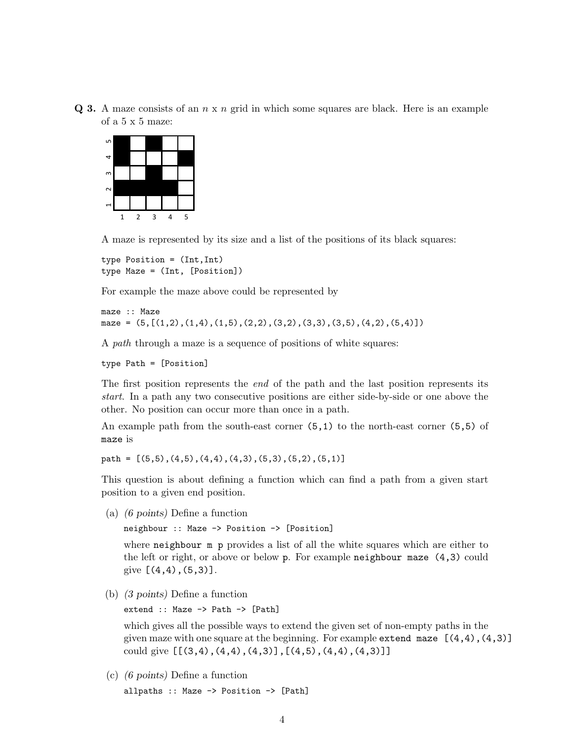$Q$  3. A maze consists of an  $n \times n$  grid in which some squares are black. Here is an example of a 5 x 5 maze:



A maze is represented by its size and a list of the positions of its black squares:

```
type Position = (Int,Int)
type Maze = (Int, [Position])
```
For example the maze above could be represented by

```
maze :: Maze
maze = (5, [(1,2), (1,4), (1,5), (2,2), (3,2), (3,3), (3,5), (4,2), (5,4)])
```
A path through a maze is a sequence of positions of white squares:

```
type Path = [Position]
```
The first position represents the *end* of the path and the last position represents its start. In a path any two consecutive positions are either side-by-side or one above the other. No position can occur more than once in a path.

An example path from the south-east corner  $(5,1)$  to the north-east corner  $(5,5)$  of maze is

path =  $[(5,5), (4,5), (4,4), (4,3), (5,3), (5,2), (5,1)]$ 

This question is about defining a function which can find a path from a given start position to a given end position.

(a) (6 points) Define a function

neighbour :: Maze -> Position -> [Position]

where neighbour m p provides a list of all the white squares which are either to the left or right, or above or below p. For example neighbour maze (4,3) could give  $[(4,4), (5,3)]$ .

(b) (3 points) Define a function

extend :: Maze -> Path -> [Path]

which gives all the possible ways to extend the given set of non-empty paths in the given maze with one square at the beginning. For example extend maze  $[(4,4), (4,3)]$ could give [[(3,4),(4,4),(4,3)],[(4,5),(4,4),(4,3)]]

(c) (6 points) Define a function allpaths :: Maze -> Position -> [Path]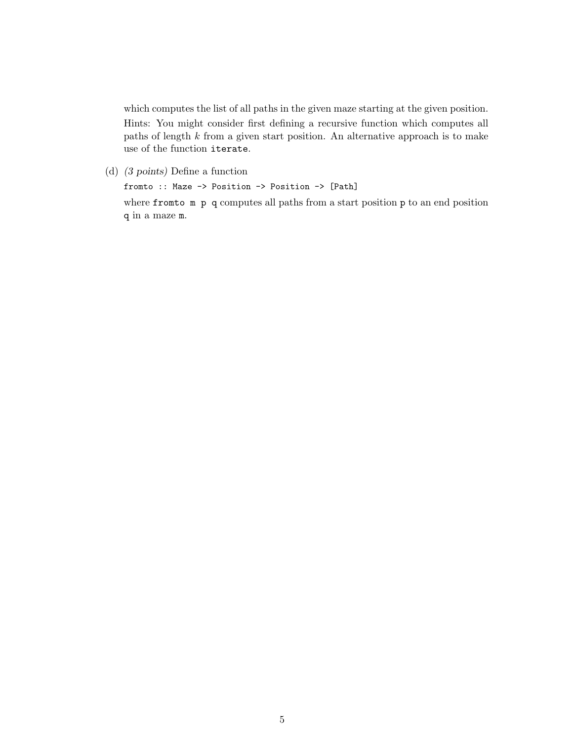which computes the list of all paths in the given maze starting at the given position. Hints: You might consider first defining a recursive function which computes all paths of length  $k$  from a given start position. An alternative approach is to make use of the function iterate.

(d) (3 points) Define a function

fromto :: Maze -> Position -> Position -> [Path] where fromto m p q computes all paths from a start position p to an end position q in a maze m.